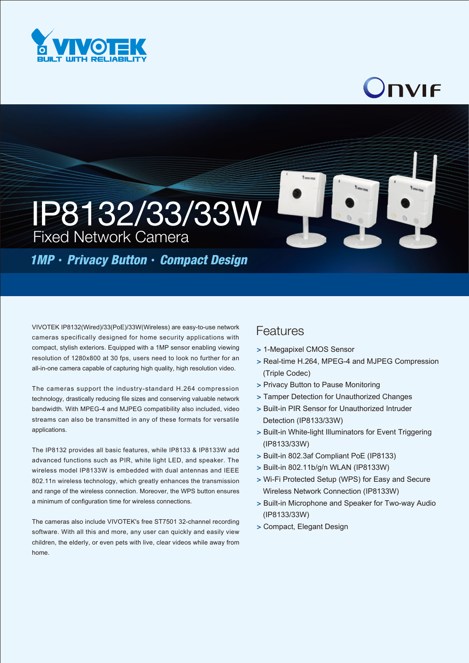

## Onvie

IP8132/33/33W Fixed Network Camera

*1MP*‧*Privacy Button*‧*Compact Design*

VIVOTEK IP8132(Wired)/33(PoE)/33W(Wireless) are easy-to-use network cameras specifically designed for home security applications with compact, stylish exteriors. Equipped with a 1MP sensor enabling viewing resolution of 1280x800 at 30 fps, users need to look no further for an all-in-one camera capable of capturing high quality, high resolution video.

The cameras support the industry-standard H.264 compression technology, drastically reducing file sizes and conserving valuable network bandwidth. With MPEG-4 and MJPEG compatibility also included, video streams can also be transmitted in any of these formats for versatile applications.

The IP8132 provides all basic features, while IP8133 & IP8133W add advanced functions such as PIR, white light LED, and speaker. The wireless model IP8133W is embedded with dual antennas and IEEE 802.11n wireless technology, which greatly enhances the transmission and range of the wireless connection. Moreover, the WPS button ensures a minimum of configuration time for wireless connections.

The cameras also include VIVOTEK's free ST7501 32-channel recording software. With all this and more, any user can quickly and easily view children, the elderly, or even pets with live, clear videos while away from home.

## Features

- > 1-Megapixel CMOS Sensor
- > Real-time H.264, MPEG-4 and MJPEG Compression (Triple Codec)
- > Privacy Button to Pause Monitoring
- > Tamper Detection for Unauthorized Changes
- > Built-in PIR Sensor for Unauthorized Intruder Detection (IP8133/33W)
- > Built-in White-light Illuminators for Event Triggering (IP8133/33W)
- > Built-in 802.3af Compliant PoE (IP8133)
- > Built-in 802.11b/g/n WLAN (IP8133W)
- > Wi-Fi Protected Setup (WPS) for Easy and Secure Wireless Network Connection (IP8133W)
- > Built-in Microphone and Speaker for Two-way Audio (IP8133/33W)
- > Compact, Elegant Design